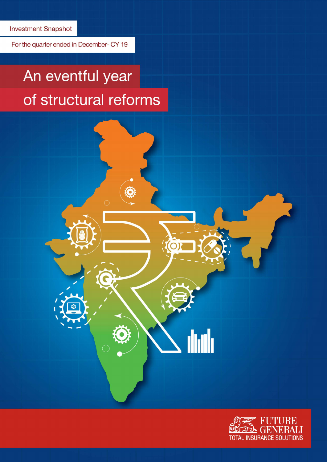For the quarter ended in December- CY 19

# An eventful year of structural reforms

◈



dudi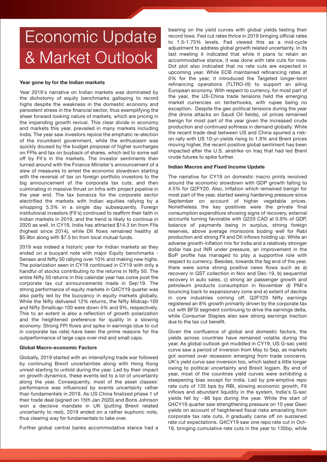## Economic Update & Market Outlook

#### Year gone by for the Indian markets

Year 2019's narrative on Indian markets was dominated by the dichotomy of equity benchmarks galloping to record highs despite the weakness in the domestic economy and persistent stress in the financial sector, thus exemplifying the sheer forward looking nature of markets, which are pricing in the impending growth revival. This clear divide in economy and markets this year, prevailed in many markets including India. The year saw investors rejoice the emphatic re-election of the incumbent government, while the enthusiasm was quickly doused by the budget proposal of higher surcharges on FPIs and tax on buyback of shares, which led to some sell off by FII's in the markets. The investor sentiments then turned around with the Finance Minister's announcement of a slew of measures to arrest the economic slowdown starting with the reversal of tax on foreign portfolio investors to the big announcement of the corporate tax cuts, and then culminating in massive thrust on Infra with project pipeline in the year end. The tax bonanza for the corporate sector electrified the markets with Indian equities rallying by a whopping 5.3% in a single day subsequently. Foreign institutional investors (FII's) continued to reaffirm their faith in Indian markets in 2019, and the trend is likely to continue in 2020 as well. In CY19, India has attracted \$14.3 bn from FIIs (highest since 2014), while DII flows remained healthy at \$5.9bn along with \$7.5 bn from local mutual funds.

2019 was indeed a historic year for Indian markets as they ended on a buoyant note with major Equity benchmarks - Sensex and Nifty 50 rallying over 10% and making new highs. The polarization seen in CY18 continued in CY19 with only a handful of stocks contributing to the returns in Nifty 50. The entire Nifty 50 returns in this calendar year has come post the corporate tax cut announcements made in Sep'19. The strong performance of equity markets in Q4CY19 quarter was also partly led by the buoyancy in equity markets globally. While the Nifty delivered 12% returns, the Nifty Midcap-100 and Nifty Smallcap-100 were down 4% and 9%, respectively. This to an extent is also a reflection of growth polarization and the heightened preference for quality in a slowing economy. Strong FPI flows and spike in earnings (due to cut in corporate tax rate) have been the prime reasons for the outperformance of large caps over mid and small caps.

#### Global Macro-economic Factors

Globally, 2019 started with an intensifying trade war followed by continuing Brexit uncertainties along with Hong Kong unrest starting to unfold during the year. Led by their impact on growth dynamics, these events led to a lot of uncertainty along the year. Consequently, most of the asset classes' performance was influenced by events uncertainty rather than fundamentals in 2019. As US China finalized phase 1 of their trade deal (signed on 15th Jan 2020) and Boris Johnson won a decisive mandate in UK (putting Brexit related uncertainty to rest), 2019 ended on a rather euphoric note, thus clearing way for fundamentals to take over.

Further global central banks accommodative stance had a

bearing on the yield curves with global yields testing their record lows. Fed cut rates thrice in 2019 bringing official rates to 1.5-1.75% levels. Fed viewed this as a mid-cycle adjustment to address global growth related uncertainty. In its last meeting it indicated that while it plans to retain an accommodative stance, it was done with rate cuts for now. Dot plot also indicated that no rate cuts are expected in upcoming year. While ECB maintained refinancing rates at 0% for the year, it introduced the Targeted longer-term refinancing operations (TLTRO-III) to support an ailing European economy. With respect to currency, for most part of the year, the US-China trade tensions held the emerging market currencies on tenterhooks, with rupee being no exception. Despite the geo political tensions during the year (the drone attacks on Saudi Oil fields), oil prices remained benign for most part of the year given the increased crude production and continued softness in demand globally. While the recent trade deal between US and China spurred a riskon rally with US 10-yr-yields rising to 1.9% and Brent prices moving higher, the recent positive global sentiment has been impacted after the U.S. airstrike on Iraq that had led Brent crude futures to spike further.

#### Indian Macros and Fixed Income Update

The narrative for CY19 on domestic macro prints revolved around the economic slowdown with GDP growth falling to 4.5% for Q2FY20. Also, Inflation which remained benign for most part of the year, started seeing hardening pressure since September on account of higher vegetable prices. Nonetheless the key positives were the private final consumption expenditure showing signs of recovery, external accounts turning favorable with Q220 CAD at 0.9% of GDP, balance of payments being in surplus, strong foreign reserves, above average monsoons boding well for Rabi production and strong FII and DII inflows holding up. While an adverse growth-inflation mix for India and a relatively stronger dollar has put INR under pressure, an improvement in the BoP profile has managed to play a supportive role with respect to currency. Besides, towards the fag end of the year, there were some strong positive news flows such as a) recovery in GST collection in Nov and Dec-19, b) sequential recovery in auto sales, c) strong air passenger growth and petroleum products consumption in November d) PMI's bouncing back to expansionary zone and e) extent of decline in core industries coming off. Q2FY20 Nifty earnings registered an 8% growth primarily driven by the corporate tax cut with BFSI segment continuing to drive the earnings delta, while Consumer Staples also saw strong earnings traction due to the tax cut benefit.

Given the confluence of global and domestic factors, the yields across countries have remained volatile during the year. As global outlook got muddled in CY19, US G-sec yield curve saw a period of inversion from May to Sep, as markets got worried over recession emerging from trade concerns. UK's yield curve saw inversion too, which lasted a little longer owing to political uncertainty and Brexit logjam. By end of year, most of the countries yield curves were exhibiting a steepening bias except for India. Led by pre-emptive repo rate cuts of 135 bps by RBI, slowing economic growth, FII inflows and abundant liquidity in the system, India's G-sec yields fell by ~86 bps during the year. While the start of Q4CY19 quarter saw strengthening pressure on 10 year Gsec yields on account of heightened fiscal risks emanating from corporate tax rate cuts, it gradually came off on sustained rate cut expectations. Q4CY19 saw one repo rate cut in Oct-19, bringing cumulative rate cuts in the year to 135bp, while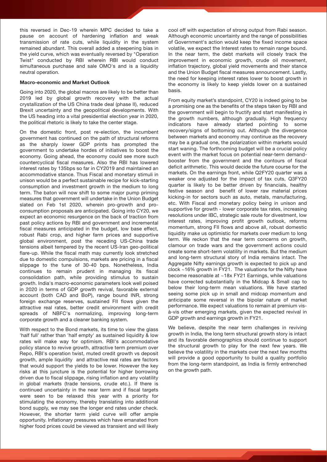this reversed in Dec-19 wherein MPC decided to take a pause on account of hardening inflation and weak transmission of rate cuts, while liquidity in the system remained abundant. This overall added a steepening bias in the yield curve, which was eventually reversed by "Operation Twist" conducted by RBI wherein RBI would conduct simultaneous purchase and sale OMO's and is a liquidity neutral operation.

#### Macro-economic and Market Outlook

Going into 2020, the global macros are likely to be better than 2019 led by global growth recovery with the actual crystallization of the US China trade deal (phase II), reduced Brexit uncertainty and the geopolitical developments. With the US heading into a vital presidential election year in 2020, the political rhetoric is likely to take the center stage.

On the domestic front, post re-election, the incumbent government has continued on the path of structural reforms as the sharply lower GDP prints has prompted the government to undertake hordes of initiatives to boost the economy. Going ahead, the economy could see more such countercyclical fiscal measures. Also the RBI has lowered interest rates by 135bps so far in CY2019 and maintained an accommodative stance. Thus Fiscal and monetary stimuli in unison would be a perfect sustainable recipe for kick-starting consumption and investment growth in the medium to long term. The baton will now shift to some major pump priming measures that government will undertake in the Union Budget slated on Feb 1st 2020, wherein pro-growth and proconsumption proposals are anticipated. Going into CY20, we expect an economic resurgence on the back of traction from past policy actions by RBI and government and incremental fiscal measures anticipated in the budget, low base effect, robust Rabi crop, and higher farm prices and supportive global environment, post the receding US-China trade tensions albeit tempered by the recent US-Iran geo-political flare-up. While the fiscal math may currently look stretched due to domestic compulsions, markets are pricing in a fiscal slippage to the tune of 30-40 bps. Nonetheless, India continues to remain prudent in managing its fiscal consolidation path, while providing stimulus to sustain growth. India's macro-economic parameters look well poised in 2020 in terms of GDP growth revival, favorable external account (both CAD and BoP), range bound INR, strong foreign exchange reserves, sustained FII flows given the attractive real rates, better credit environment with credit spreads of NBFC's normalizing, improving long-term corporate growth and a cleaner banking system.

With respect to the Bond markets, its time to view the glass 'half full' rather than 'half empty' as sustained liquidity & low rates will make way for optimism. RBI's accommodative policy stance to revive growth, attractive term premium over Repo, RBI's operation twist, muted credit growth vs deposit growth, ample liquidity and attractive real rates are factors that would support the yields to be lower. However the key risks at this juncture is the potential for higher borrowing driven due to fiscal slippage, rising inflation and any volatility in global markets (trade tensions, crude etc.). If there is continued uncertainty in the near term and if fiscal targets were seen to be relaxed this year with a priority for stimulating the economy, thereby translating into additional bond supply, we may see the longer end rates under check. However, the shorter term yield curve will offer ample opportunity. Inflationary pressures which have emanated from higher food prices could be viewed as transient and will likely

cool off with expectation of strong output from Rabi season. Although economic uncertainty and the range of possibilities of Government's action would keep the fixed income space volatile, we expect the Interest rates to remain range bound. In the near term, the debt markets will closely track the improvement in economic growth, crude oil movement, inflation trajectory, global yield movements and their stance and the Union Budget fiscal measures announcement. Lastly, the need for keeping interest rates lower to boost growth in the economy is likely to keep yields lower on a sustained basis.

From equity market's standpoint, CY20 is indeed going to be a promising one as the benefits of the steps taken by RBI and the government will begin to fructify and start manifesting in the growth numbers, although gradually. High frequency indicators have already started pointing to some recovery/signs of bottoming out. Although the divergence between markets and economy may continue as the recovery may be a gradual one, the polarization within markets would start waning. The forthcoming budget will be a crucial policy event with the market focus on potential near-term demandbooster from the government and the contours of fiscal deficit arithmetic. This would decide the future course for the markets. On the earnings front, while Q2FY20 quarter was a weaker one adjusted for the impact of tax cuts, Q3FY20 quarter is likely to be better driven by financials, healthy festive season and benefit of lower raw material prices kicking-in for sectors such as auto, metals, manufacturing, etc. With Fiscal and monetary policy being in unison and supportive for growth - lower corporate tax rates, increasing resolutions under IBC, strategic sale route for divestment, low interest rates, improving profit growth outlook, reforms momentum, strong FII flows and above all, robust domestic liquidity make us optimistic for markets over medium to long term. We reckon that the near term concerns on growth, clamour on trade wars and the government actions could create some short-term volatility in markets. But the medium and long-term structural story of India remains intact. The Aggregate Nifty earnings growth is expected to pick up and clock ~16% growth in FY21. The valuations for the Nifty have become reasonable at ~18x FY21 Earnings, while valuations have corrected substantially in the Midcap & Small cap to below their long-term mean valuations. We have started seeing some pick up in small and midcap momentum and anticipate some reversal in the bipolar nature of market performance. We expect valuations to remain at premium visà-vis other emerging markets, given the expected revival in GDP growth and earnings growth in FY21.

We believe, despite the near term challenges in reviving growth in India, the long term structural growth story is intact and its favorable demographics should continue to support the structural growth to play for the next few years. We believe the volatility in the markets over the next few months will provide a good opportunity to build a quality portfolio from the long-term standpoint, as India is firmly entrenched on the growth path.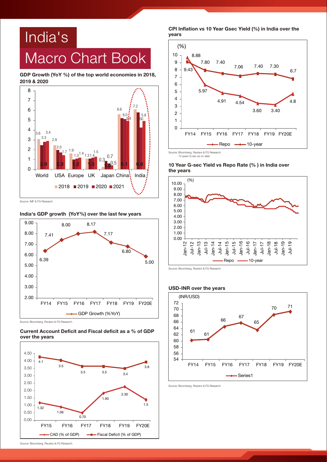## India's Macro Chart Book

GDP Growth (YoY %) of the top world economies in 2018, 2019 & 2020



#### India's GDP growth (YoY%) over the last few years



Source: Bloomberg, Reuters & FG Research





CPI Inflation vs 10 Year Gsec Yield (%) in India over the years



#### 10 Year G-sec Yield vs Repo Rate (% ) in India over the years



Source: Bloomberg, Reuters & FG Research

## USD-INR over the years



Source: Bloomberg, Reuters & FG Research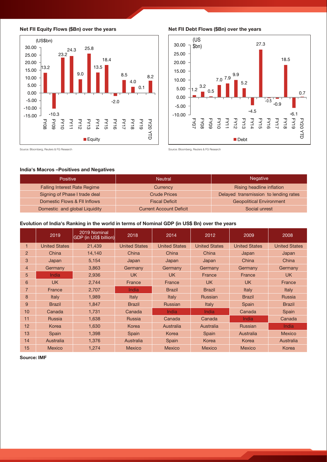



#### Net FII Debt Flows (\$Bn) over the years



Source: Bloomberg, Reuters & FG Research

Source: Bloomberg, Reuters & FG Research

### India's Macros –Positives and Negatives

| <b>Positive</b>                     | <b>Neutral</b>                 | <b>Negative</b>                       |  |  |  |
|-------------------------------------|--------------------------------|---------------------------------------|--|--|--|
| <b>Falling Interest Rate Regime</b> | Currency                       | Rising headline inflation             |  |  |  |
| Signing of Phase I trade deal       | Crude Prices                   | Delayed transmission to lending rates |  |  |  |
| Domestic Flows & FII Inflows        | <b>Fiscal Deficit</b>          | <b>Geopolitical Environment</b>       |  |  |  |
| Domestic and global Liquidity       | <b>Current Account Deficit</b> | Social unrest                         |  |  |  |

### Evolution of India's Ranking in the world in terms of Nominal GDP (in US\$ Bn) over the years

|                | 2019                 | 2019 Nominal<br>GDP (in US\$ billion) | 2018                 | 2014                 | 2012                 | 2009                 | 2008                 |
|----------------|----------------------|---------------------------------------|----------------------|----------------------|----------------------|----------------------|----------------------|
| $\mathbf 1$    | <b>United States</b> | 21,439                                | <b>United States</b> | <b>United States</b> | <b>United States</b> | <b>United States</b> | <b>United States</b> |
| $\overline{2}$ | China                | 14,140                                | China                | China                | China                | Japan                | Japan                |
| 3              | Japan                | 5,154                                 | Japan                | Japan                | Japan                | China                | China                |
| $\overline{4}$ | Germany              | 3,863                                 | Germany              | Germany              | Germany              | Germany              | Germany              |
| 5              | India                | 2,936                                 | UK.                  | <b>UK</b>            | France               | <b>France</b>        | UK.                  |
| 6              | <b>UK</b>            | 2,744                                 | France               | France               | <b>UK</b>            | <b>UK</b>            | France               |
| $\overline{7}$ | France               | 2,707                                 | India                | <b>Brazil</b>        | <b>Brazil</b>        | Italy                | Italy                |
| 8              | Italy                | 1,989                                 | Italy                | Italy                | <b>Russian</b>       | <b>Brazil</b>        | <b>Russia</b>        |
| 9              | <b>Brazil</b>        | 1,847                                 | <b>Brazil</b>        | <b>Russian</b>       | Italy                | Spain                | <b>Brazil</b>        |
| 10             | Canada               | 1,731                                 | Canada               | India                | India                | Canada               | Spain                |
| 11             | <b>Russia</b>        | 1,638                                 | <b>Russia</b>        | Canada               | Canada               | India                | Canada               |
| 12             | Korea                | 1,630                                 | Korea                | Australia            | Australia            | Russian              | India                |
| 13             | Spain                | 1,398                                 | Spain                | Korea                | Spain                | Australia            | <b>Mexico</b>        |
| 14             | Australia            | 1,376                                 | Australia            | Spain                | Korea                | Korea                | Australia            |
| 15             | <b>Mexico</b>        | 1,274                                 | <b>Mexico</b>        | <b>Mexico</b>        | Mexico               | Mexico               | Korea                |

Source: IMF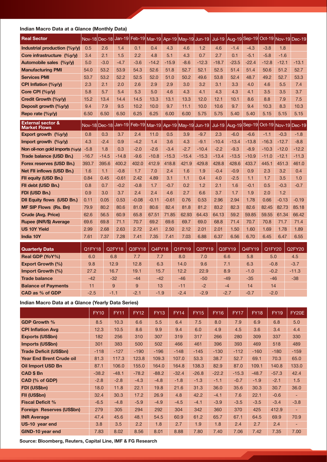## Indian Macro Data at a Glance (Monthly Data)

| <b>Real Sector</b>                                  |      | Nov-18 Dec-18 Jan-19 Feb-19 Mar-19 Apr-19 May-19 Jun-19 Jul-19 Aug-19 Sep-19 Oct-19 Nov-19 Dec-19 |        |        |         |         |        |         |         |         |         |         |         |         |
|-----------------------------------------------------|------|---------------------------------------------------------------------------------------------------|--------|--------|---------|---------|--------|---------|---------|---------|---------|---------|---------|---------|
| Industrial production (%y/y)                        | 0.5  | 2.6                                                                                               | 1.4    | 0.1    | 0.4     | 4.3     | 4.6    | 1.2     | 4.6     | $-1.4$  | $-4.3$  | $-3.8$  | 1.8     |         |
| Core infrastructure (%y/y)                          | 3.4  | 2.1                                                                                               | 1.5    | 2.2    | 4.8     | 5.1     | 4.3    | 0.7     | 2.7     | 0.1     | $-5.1$  | $-5.8$  | $-1.6$  |         |
| Automobile sales (%y/y)                             | 5.0  | $-3.0$                                                                                            | $-4.7$ | $-3.6$ | $-14.2$ | $-15.9$ | $-8.6$ | $-12.3$ | $-18.7$ | $-23.5$ | $-22.4$ | $-12.8$ | $-12.1$ | $-13.1$ |
| <b>Manufacturing PMI</b>                            | 54.0 | 53.2                                                                                              | 53.9   | 54.3   | 52.6    | 51.8    | 52.7   | 52.1    | 52.5    | 51.4    | 51.4    | 50.6    | 51.2    | 52.7    |
| <b>Services PMI</b>                                 | 53.7 | 53.2                                                                                              | 52.2   | 52.5   | 52.0    | 51.0    | 50.2   | 49.6    | 53.8    | 52.4    | 48.7    | 49.2    | 52.7    | 53.3    |
| CPI Inflation (%y/y)                                | 2.3  | 2.1                                                                                               | 2.0    | 2.6    | 2.9     | 2.9     | 3.0    | 3.2     | 3.1     | 3.3     | 4.0     | 4.6     | 5.5     | 7.4     |
| Core CPI (%y/y)                                     | 5.8  | 5.7                                                                                               | 5.4    | 5.3    | 5.0     | 4.6     | 4.3    | 4.1     | 4.3     | 4.3     | 4.1     | 3.5     | 3.5     | 3.7     |
| Credit Growth (%y/y)                                | 15.2 | 13.4                                                                                              | 14.4   | 14.5   | 13.3    | 13.1    | 13.3   | 12.0    | 12.1    | 10.1    | 8.6     | 8.8     | 7.9     | 7.5     |
| Deposit growth (%y/y)                               | 9.4  | 7.9                                                                                               | 9.5    | 10.2   | 10.0    | 9.7     | 11.1   | 10.0    | 10.6    | 9.7     | 9.4     | 10.3    | 8.3     | 10.3    |
| Repo rate (%y/y)                                    | 6.50 | 6.50                                                                                              | 6.50   | 6.25   | 6.25    | 6.00    | 6.00   | 5.75    | 5.75    | 5.40    | 5.40    | 5.15    | 5.15    | 5.15    |
| <b>External sector &amp;</b><br><b>Market Flows</b> |      | Nov-18 Dec-18 Jan-19 Feb-19 Mar-19 Apr-19 May-19 Jun-19 Jul-19 Aug-19 Sep-19 Oct-19 Nov-19 Dec-19 |        |        |         |         |        |         |         |         |         |         |         |         |

| Market Fluws                      |         |         |         |         |         |         |         |         |         |         |         |         |         |         |
|-----------------------------------|---------|---------|---------|---------|---------|---------|---------|---------|---------|---------|---------|---------|---------|---------|
| Export growth $(%y/y)$            | 0.8     | 0.3     | 3.7     | 2.4     | 11.0    | 0.5     | 3.9     | $-9.7$  | 2.3     | $-6.0$  | $-6.6$  | $-1.1$  | $-0.3$  | $-1.8$  |
| Import growth $(\frac{9}{9}y/y)$  | 4.3     | $-2.4$  | 0.9     | $-4.2$  | 1.4     | 3.6     | 4.3     | $-9.1$  | $-10.4$ | $-13.4$ | $-13.8$ | $-16.3$ | $-12.7$ | $-8.8$  |
| Non oil-non gold imports (%y/y)   | $-5.8$  | 1.8     | 0.3     | $-2.0$  | $-2.6$  | $-3.4$  | $-2.7$  | $-10.4$ | $-2.2$  | $-9.3$  | $-8.9$  | $-10.3$ | $-12.0$ | $-12.2$ |
| Trade balance (USD Bn.)           | $-16.7$ | $-14.5$ | $-14.8$ | $-9.6$  | $-10.8$ | $-15.3$ | $-15.4$ | $-15.3$ | $-13.4$ | $-13.5$ | $-10.9$ | $-11.0$ | $-12.1$ | $-11.3$ |
| Forex reserves (USD Bn.)          | 393.7   | 395.6   | 400.2   | 402.0   | 412.9   | 418.8   | 421.9   | 429.8   | 428.8   | 428.6   | 433.7   | 445.1   | 451.3   | 461.0   |
| Net FII inflows (USD Bn.)         | 1.6     | 1.1     | $-0.8$  | 1.7     | 7.0     | 2.4     | 1.6     | 1.9     | $-0.4$  | $-0.9$  | 0.9     | 2.3     | 3.2     | 0.4     |
| FII equity (USD Bn.)              | 0.84    | 0.45    | $-0.61$ | 2.42    | 4.89    | 3.1     | 1.1     | 0.4     | 4.0     | $-2.5$  | 1.1     | 1.7     | 3.5     | 1.0     |
| Fil debt (USD Bn.)                | 0.8     | 0.7     | $-0.2$  | $-0.8$  | 1.7     | $-0.7$  | 0.2     | 1.2     | 2.1     | 1.6     | $-0.1$  | 0.5     | $-0.3$  | $-0.7$  |
| FDI (USD Bn.)                     | 0.9     | 3.0     | 3.7     | 2.4     | 2.4     | 4.6     | 2.7     | 6.6     | 3.7     | 1.7     | 1.9     | 2.0     | 1.2     |         |
| <b>DII Equity flows (USD Bn.)</b> | 0.11    | 0.05    | 0.53    | $-0.08$ | $-0.11$ | $-0.61$ | 0.76    | 0.53    | 2.96    | 2.94    | 1.78    | 0.66    | $-0.13$ | $-0.19$ |
| <b>MF SIP Flows (Rs. Bn)</b>      | 79.9    | 80.2    | 80.6    | 81.0    | 80.6    | 82.4    | 81.8    | 81.2    | 83.2    | 82.3    | 82.6    | 82.45   | 82.73   | 85.18   |
| <b>Crude (Avg. Price)</b>         | 62.6    | 56.5    | 60.9    | 65.8    | 67.51   | 71.85   | 62.93   | 64.43   | 64.13   | 59.2    | 59.85   | 59.55   | 61.34   | 66.42   |
| Rupee (INR/\$) Average            | 69.6    | 69.8    | 71.1    | 70.7    | 69.2    | 69.6    | 69.7    | 69.0    | 68.8    | 71.4    | 70.7    | 70.8    | 71.7    | 71.4    |
| <b>US 10Y Yield</b>               | 2.99    | 2.68    | 2.63    | 2.72    | 2.41    | 2.50    | 2.12    | 2.01    | 2.01    | 1.50    | 1.60    | 1.69    | 1.78    | 1.89    |
| India 10Y                         | 7.61    | 7.37    | 7.28    | 7.41    | 7.35    | 7.41    | 7.03    | 6.88    | 6.37    | 6.56    | 6.70    | 6.45    | 6.47    | 6.55    |
|                                   |         |         |         |         |         |         |         |         |         |         |         |         |         |         |

| <b>Quarterly Data</b>      | Q1FY18 | Q2FY18 | Q3FY18 | Q4FY18 | Q1FY19 | Q2FY19 | Q3FY19 | Q4FY19 | Q1FY20 | Q2FY20  |
|----------------------------|--------|--------|--------|--------|--------|--------|--------|--------|--------|---------|
| Real GDP (YoY%)            | 6.0    | 6.8    | 7.7    | 7.7    | 8.0    | 7.0    | 6.6    | 5.8    | 5.0    | 4.5     |
| <b>Export Growth (%)</b>   | 9.8    | 12.9   | 12.8   | 6.3    | 14.0   | 9.6    | 7.1    | 6.3    | $-0.8$ | $-3.7$  |
| Import Growth (%)          | 27.2   | 16.7   | 19.1   | 15.7   | 12.2   | 22.9   | 8.9    | $-1.0$ | $-0.2$ | $-11.3$ |
| <b>Trade balance</b>       | $-42$  | $-32$  | $-44$  | $-42$  | $-46$  | $-50$  | $-49$  | $-35$  | $-46$  | $-38$   |
| <b>Balance of Payments</b> | 11     | 9      | 9      | 13     | $-11$  | $-2$   | $-4$   | 14     | 14     |         |
| CAD as % of GDP            | $-2.5$ | $-1.1$ | $-2.1$ | $-1.9$ | $-2.4$ | $-2.9$ | $-2.7$ | $-0.7$ | $-2.0$ |         |

## Indian Macro Data at a Glance (Yearly Data Series)

|                                  | <b>FY10</b> | <b>FY11</b> | <b>FY12</b> | <b>FY13</b> | <b>FY14</b> | <b>FY15</b> | <b>FY16</b> | <b>FY17</b> | <b>FY18</b> | <b>FY19</b> | FY20E                    |
|----------------------------------|-------------|-------------|-------------|-------------|-------------|-------------|-------------|-------------|-------------|-------------|--------------------------|
| <b>GDP Growth %</b>              | 8.5         | 10.3        | 6.6         | 5.5         | 6.4         | 7.5         | 8.0         | 7.9         | 6.9         | 6.8         | 5.0                      |
| <b>CPI Inflation Avg</b>         | 12.3        | 10.5        | 8.6         | 9.9         | 9.4         | 6.0         | 4.9         | 4.5         | 3.6         | 3.4         | 4.4                      |
| <b>Exports (US\$bn)</b>          | 182         | 256         | 310         | 307         | 319         | 317         | 266         | 280         | 309         | 337         | 330                      |
| <b>Imports (US\$bn)</b>          | 301         | 383         | 500         | 502         | 466         | 461         | 396         | 393         | 469         | 518         | 489                      |
| <b>Trade Deficit (US\$bn)</b>    | $-118$      | $-127$      | $-190$      | $-196$      | $-148$      | $-145$      | $-130$      | $-112$      | $-160$      | $-180$      | $-159$                   |
| <b>Year End Brent Crude oil</b>  | 81.3        | 117.3       | 123.8       | 109.3       | 107.0       | 53.3        | 38.7        | 52.7        | 69.1        | 70.3        | 65.0                     |
| <b>Oil Import USD Bn</b>         | 87.1        | 106.0       | 155.0       | 164.0       | 164.8       | 138.3       | 82.9        | 87.0        | 109.1       | 140.8       | 133.0                    |
| <b>CAD \$ Bn</b>                 | $-38.2$     | $-48.1$     | $-78.2$     | $-88.2$     | $-32.4$     | $-26.8$     | $-22.2$     | $-15.3$     | $-48.7$     | $-57.3$     | 42.4                     |
| CAD (% of GDP)                   | $-2.8$      | $-2.8$      | $-4.3$      | $-4.8$      | $-1.8$      | $-1.3$      | $-1.1$      | $-0.7$      | $-1.9$      | $-2.1$      | 1.5                      |
| <b>FDI (US\$bn)</b>              | 18.0        | 11.8        | 22.1        | 19.8        | 21.6        | 31.3        | 36.0        | 35.6        | 30.3        | 30.7        | 36.0                     |
| FII (US\$bn)                     | 32.4        | 30.3        | 17.2        | 26.9        | 4.8         | 42.2        | $-4.1$      | 7.6         | 22.1        | $-0.6$      | $\overline{\phantom{0}}$ |
| <b>Fiscal Deficit %</b>          | $-6.5$      | $-4.8$      | $-5.9$      | $-4.9$      | $-4.5$      | $-4.1$      | $-3.9$      | $-3.5$      | $-3.5$      | $-3.4$      | $-3.8$                   |
| <b>Foreign Reserves (US\$bn)</b> | 279         | 305         | 294         | 292         | 304         | 342         | 360         | 370         | 425         | 412.9       | $\overline{\phantom{a}}$ |
| <b>INR Average</b>               | 47.4        | 45.6        | 48.1        | 54.5        | 60.9        | 61.2        | 65.7        | 67.1        | 64.5        | 69.9        | 70.9                     |
| US-10 year end                   | 3.8         | 3.5         | 2.2         | 1.8         | 2.7         | 1.9         | 1.8         | 2.4         | 2.7         | 2.4         | ٠                        |
| <b>GIND-10 year end</b>          | 7.83        | 8.02        | 8.56        | 8.01        | 8.88        | 7.80        | 7.40        | 7.06        | 7.42        | 7.35        | 7.00                     |

Source: Bloomberg, Reuters, Capital Line, IMF & FG Research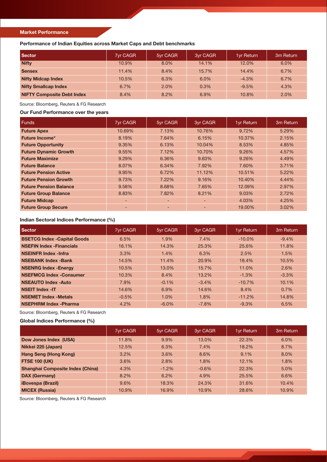#### Market Performance

Performance of Indian Equities across Market Caps and Debt benchmarks

| <b>Sector</b>                     | <b>7yr CAGR</b> | 5yr CAGR | 3yr CAGR | <b>1yr Return</b> | 3m Return |
|-----------------------------------|-----------------|----------|----------|-------------------|-----------|
| <b>Nifty</b>                      | 10.9%           | 8.0%     | 14.1%    | 12.0%             | 6.0%      |
| <b>Sensex</b>                     | 11.4%           | 8.4%     | 15.7%    | 14.4%             | 6.7%      |
| <b>Nifty Midcap Index</b>         | 10.5%           | 6.3%     | 6.0%     | $-4.3%$           | 6.7%      |
| <b>Nifty Smallcap Index</b>       | 6.7%            | 2.0%     | 0.3%     | $-9.5%$           | 4.3%      |
| <b>NIFTY Composite Debt Index</b> | 8.4%            | 8.2%     | 6.9%     | $10.8\%$          | 2.0%      |

Source: Bloomberg, Reuters & FG Research

### Our Fund Performance over the years

| <b>Funds</b>                  | 7yr CAGR                 | 5yr CAGR | 3yr CAGR | 1yr Return | 3m Return |
|-------------------------------|--------------------------|----------|----------|------------|-----------|
| <b>Future Apex</b>            | 10.69%                   | 7.13%    | 10.76%   | 9.72%      | 5.29%     |
| <b>Future Income*</b>         | 8.19%                    | 7.64%    | 6.15%    | 10.37%     | 2.15%     |
| <b>Future Opportunity</b>     | 9.35%                    | 6.13%    | 10.04%   | 8.53%      | 4.85%     |
| <b>Future Dynamic Growth</b>  | 9.55%                    | 7.12%    | 10.70%   | 9.26%      | 4.57%     |
| <b>Future Maximize</b>        | 9.29%                    | 6.36%    | 9.63%    | 9.26%      | 4.49%     |
| <b>Future Balance</b>         | 8.07%                    | 6.34%    | 7.92%    | 7.60%      | 3.71%     |
| <b>Future Pension Active</b>  | 9.95%                    | 6.72%    | 11.12%   | 10.51%     | $5.22\%$  |
| <b>Future Pension Growth</b>  | 9.73%                    | 7.22%    | 9.16%    | 10.40%     | 4.44%     |
| <b>Future Pension Balance</b> | 9.58%                    | 8.68%    | 7.65%    | 12.09%     | 2.97%     |
| <b>Future Group Balance</b>   | 8.83%                    | 7.82%    | 8.21%    | 9.03%      | 2.72%     |
| <b>Future Midcap</b>          | $\overline{\phantom{0}}$ | ٠        | ٠        | 4.03%      | 4.25%     |
| <b>Future Group Secure</b>    | $\overline{\phantom{0}}$ | ٠        | ٠        | 19.00%     | 3.02%     |

## Indian Sectoral Indices Performance (%)

| Sector                             | 7yr CAGR | 5yr CAGR | 3yr CAGR | 1yr Return | 3m Return |
|------------------------------------|----------|----------|----------|------------|-----------|
| <b>BSETCG Index -Capital Goods</b> | 6.5%     | 1.9%     | 7.4%     | $-10.0\%$  | $-9.4%$   |
| <b>NSEFIN Index - Financials</b>   | 16.1%    | 14.3%    | 25.3%    | 25.6%      | 11.8%     |
| <b>NSEINFR Index -Infra</b>        | 3.3%     | 1.4%     | 6.3%     | 2.5%       | 1.5%      |
| <b>NSEBANK Index -Bank</b>         | 14.5%    | 11.4%    | 20.9%    | 18.4%      | 10.5%     |
| <b>NSENRG Index - Energy</b>       | 10.5%    | 13.0%    | 15.7%    | 11.0%      | 2.6%      |
| <b>NSEFMCG Index -Consumer</b>     | 10.3%    | 8.4%     | 13.2%    | $-1.3%$    | $-3.3%$   |
| <b>NSEAUTO Index -Auto</b>         | 7.9%     | $-0.1%$  | $-3.4%$  | $-10.7%$   | 10.1%     |
| <b>NSEIT Index -IT</b>             | 14.6%    | 6.9%     | 14.6%    | 8.4%       | 0.7%      |
| <b>NSEMET Index - Metals</b>       | $-0.5%$  | 1.0%     | 1.8%     | $-11.2%$   | 14.8%     |
| <b>NSEPHRM Index - Pharma</b>      | 4.2%     | $-6.0%$  | $-7.8%$  | $-9.3%$    | 6.5%      |

Source: Bloomberg, Reuters & FG Research

## Global Indices Performance (%)

|                                         | <b>7yr CAGR</b> | 5yr CAGR | 3yr CAGR | <b>1yr Return</b> | 3 <sub>m</sub> Return |
|-----------------------------------------|-----------------|----------|----------|-------------------|-----------------------|
| Dow Jones Index (USA)                   | 11.8%           | 9.9%     | 13.0%    | 22.3%             | 6.0%                  |
| Nikkei 225 (Japan)                      | 12.5%           | 6.3%     | 7.4%     | 18.2%             | 8.7%                  |
| <b>Hang Seng (Hong Kong)</b>            | $3.2\%$         | 3.6%     | 8.6%     | 9.1%              | 8.0%                  |
| <b>FTSE 100 (UK)</b>                    | 3.6%            | 2.8%     | 1.8%     | 12.1%             | 1.8%                  |
| <b>Shanghai Composite Index (China)</b> | 4.3%            | $-1.2%$  | $-0.6%$  | 22.3%             | 5.0%                  |
| <b>DAX (Germany)</b>                    | 8.2%            | 6.2%     | 4.9%     | 25.5%             | 6.6%                  |
| <b>iBovespa (Brazil)</b>                | 9.6%            | 18.3%    | 24.3%    | 31.6%             | 10.4%                 |
| <b>MICEX (Russia)</b>                   | 10.9%           | 16.9%    | 10.9%    | 28.6%             | 10.9%                 |

Source: Bloomberg, Reuters & FG Research